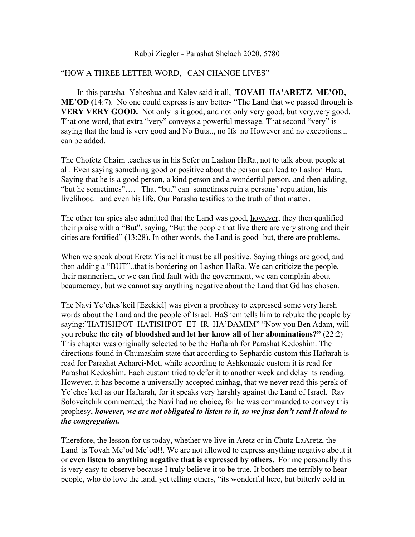## Rabbi Ziegler - Parashat Shelach 2020, 5780

## "HOW A THREE LETTER WORD, CAN CHANGE LIVES"

 In this parasha- Yehoshua and Kalev said it all, **TOVAH HA'ARETZ ME'OD, ME'OD** (14:7). No one could express is any better- "The Land that we passed through is **VERY VERY GOOD.** Not only is it good, and not only very good, but very, very good. That one word, that extra "very" conveys a powerful message. That second "very" is saying that the land is very good and No Buts.., no Ifs no However and no exceptions.., can be added.

The Chofetz Chaim teaches us in his Sefer on Lashon HaRa, not to talk about people at all. Even saying something good or positive about the person can lead to Lashon Hara. Saying that he is a good person, a kind person and a wonderful person, and then adding, "but he sometimes"…. That "but" can sometimes ruin a persons' reputation, his livelihood –and even his life. Our Parasha testifies to the truth of that matter.

The other ten spies also admitted that the Land was good, however, they then qualified their praise with a "But", saying, "But the people that live there are very strong and their cities are fortified" (13:28). In other words, the Land is good- but, there are problems.

When we speak about Eretz Yisrael it must be all positive. Saying things are good, and then adding a "BUT"..that is bordering on Lashon HaRa. We can criticize the people, their mannerism, or we can find fault with the government, we can complain about beauracracy, but we cannot say anything negative about the Land that Gd has chosen.

The Navi Ye'ches'keil [Ezekiel] was given a prophesy to expressed some very harsh words about the Land and the people of Israel. HaShem tells him to rebuke the people by saying:"HATISHPOT HATISHPOT ET IR HA'DAMIM" "Now you Ben Adam, will you rebuke the **city of bloodshed and let her know all of her abominations?"** (22:2) This chapter was originally selected to be the Haftarah for Parashat Kedoshim. The directions found in Chumashim state that according to Sephardic custom this Haftarah is read for Parashat Acharei-Mot, while according to Ashkenazic custom it is read for Parashat Kedoshim. Each custom tried to defer it to another week and delay its reading. However, it has become a universally accepted minhag, that we never read this perek of Ye'ches'keil as our Haftarah, for it speaks very harshly against the Land of Israel. Rav Soloveitchik commented, the Navi had no choice, for he was commanded to convey this prophesy, *however, we are not obligated to listen to it, so we just don't read it aloud to the congregation.*

Therefore, the lesson for us today, whether we live in Aretz or in Chutz LaAretz, the Land is Tovah Me'od Me'od!!. We are not allowed to express anything negative about it or **even listen to anything negative that is expressed by others.** For me personally this is very easy to observe because I truly believe it to be true. It bothers me terribly to hear people, who do love the land, yet telling others, "its wonderful here, but bitterly cold in